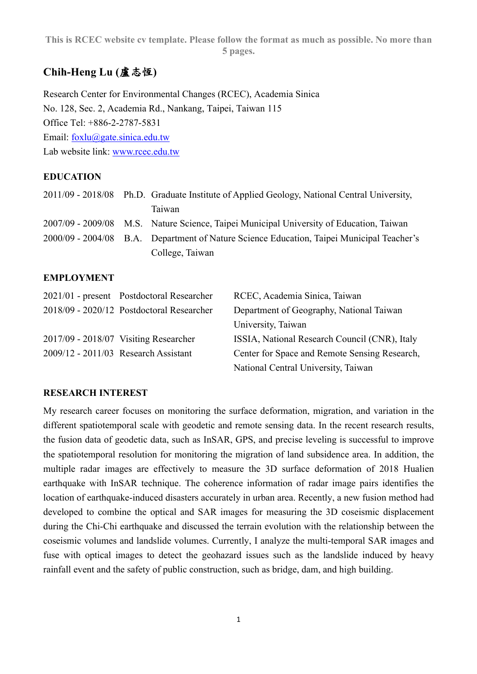# **Chih-Heng Lu (**盧志恆**)**

Research Center for Environmental Changes (RCEC), Academia Sinica No. 128, Sec. 2, Academia Rd., Nankang, Taipei, Taiwan 115 Office Tel: +886-2-2787-5831 Email: foxlu@gate.sinica.edu.tw Lab website link: www.rcec.edu.tw

#### **EDUCATION**

|  | 2011/09 - 2018/08 Ph.D. Graduate Institute of Applied Geology, National Central University, |  |
|--|---------------------------------------------------------------------------------------------|--|
|  | Taiwan                                                                                      |  |
|  | 2007/09 - 2009/08 M.S. Nature Science, Taipei Municipal University of Education, Taiwan     |  |
|  | 2000/09 - 2004/08 B.A. Department of Nature Science Education, Taipei Municipal Teacher's   |  |
|  | College, Taiwan                                                                             |  |

### **EMPLOYMENT**

| 2021/01 - present Postdoctoral Researcher | RCEC, Academia Sinica, Taiwan                 |
|-------------------------------------------|-----------------------------------------------|
| 2018/09 - 2020/12 Postdoctoral Researcher | Department of Geography, National Taiwan      |
|                                           | University, Taiwan                            |
| 2017/09 - 2018/07 Visiting Researcher     | ISSIA, National Research Council (CNR), Italy |
| 2009/12 - 2011/03 Research Assistant      | Center for Space and Remote Sensing Research, |
|                                           | National Central University, Taiwan           |

#### **RESEARCH INTEREST**

My research career focuses on monitoring the surface deformation, migration, and variation in the different spatiotemporal scale with geodetic and remote sensing data. In the recent research results, the fusion data of geodetic data, such as InSAR, GPS, and precise leveling is successful to improve the spatiotemporal resolution for monitoring the migration of land subsidence area. In addition, the multiple radar images are effectively to measure the 3D surface deformation of 2018 Hualien earthquake with InSAR technique. The coherence information of radar image pairs identifies the location of earthquake-induced disasters accurately in urban area. Recently, a new fusion method had developed to combine the optical and SAR images for measuring the 3D coseismic displacement during the Chi-Chi earthquake and discussed the terrain evolution with the relationship between the coseismic volumes and landslide volumes. Currently, I analyze the multi-temporal SAR images and fuse with optical images to detect the geohazard issues such as the landslide induced by heavy rainfall event and the safety of public construction, such as bridge, dam, and high building.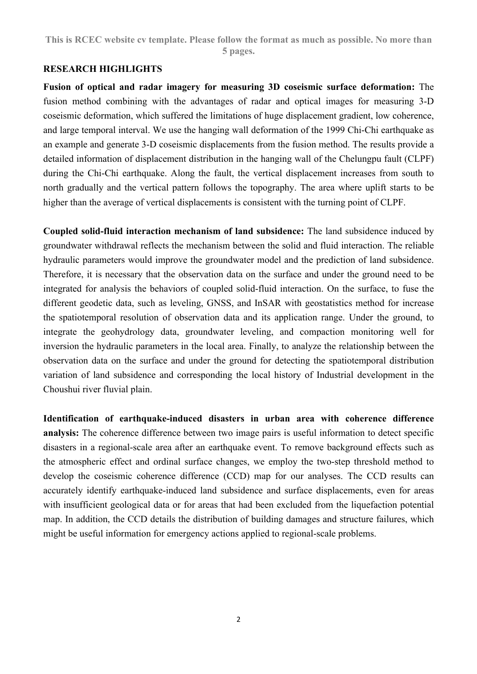#### **RESEARCH HIGHLIGHTS**

**Fusion of optical and radar imagery for measuring 3D coseismic surface deformation:** The fusion method combining with the advantages of radar and optical images for measuring 3-D coseismic deformation, which suffered the limitations of huge displacement gradient, low coherence, and large temporal interval. We use the hanging wall deformation of the 1999 Chi-Chi earthquake as an example and generate 3-D coseismic displacements from the fusion method. The results provide a detailed information of displacement distribution in the hanging wall of the Chelungpu fault (CLPF) during the Chi-Chi earthquake. Along the fault, the vertical displacement increases from south to north gradually and the vertical pattern follows the topography. The area where uplift starts to be higher than the average of vertical displacements is consistent with the turning point of CLPF.

**Coupled solid-fluid interaction mechanism of land subsidence:** The land subsidence induced by groundwater withdrawal reflects the mechanism between the solid and fluid interaction. The reliable hydraulic parameters would improve the groundwater model and the prediction of land subsidence. Therefore, it is necessary that the observation data on the surface and under the ground need to be integrated for analysis the behaviors of coupled solid-fluid interaction. On the surface, to fuse the different geodetic data, such as leveling, GNSS, and InSAR with geostatistics method for increase the spatiotemporal resolution of observation data and its application range. Under the ground, to integrate the geohydrology data, groundwater leveling, and compaction monitoring well for inversion the hydraulic parameters in the local area. Finally, to analyze the relationship between the observation data on the surface and under the ground for detecting the spatiotemporal distribution variation of land subsidence and corresponding the local history of Industrial development in the Choushui river fluvial plain.

**Identification of earthquake-induced disasters in urban area with coherence difference analysis:** The coherence difference between two image pairs is useful information to detect specific disasters in a regional-scale area after an earthquake event. To remove background effects such as the atmospheric effect and ordinal surface changes, we employ the two-step threshold method to develop the coseismic coherence difference (CCD) map for our analyses. The CCD results can accurately identify earthquake-induced land subsidence and surface displacements, even for areas with insufficient geological data or for areas that had been excluded from the liquefaction potential map. In addition, the CCD details the distribution of building damages and structure failures, which might be useful information for emergency actions applied to regional-scale problems.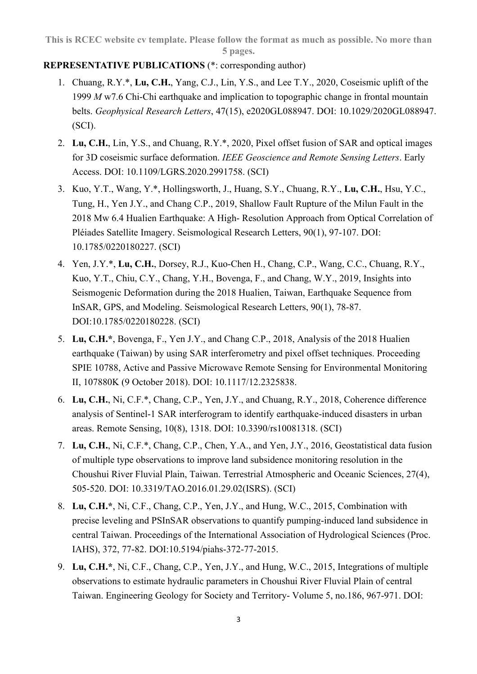## **REPRESENTATIVE PUBLICATIONS** (\*: corresponding author)

- 1. Chuang, R.Y.\*, **Lu, C.H.**, Yang, C.J., Lin, Y.S., and Lee T.Y., 2020, Coseismic uplift of the 1999 *M* w7.6 Chi-Chi earthquake and implication to topographic change in frontal mountain belts. *Geophysical Research Letters*, 47(15), e2020GL088947. DOI: 10.1029/2020GL088947. (SCI).
- 2. **Lu, C.H.**, Lin, Y.S., and Chuang, R.Y.\*, 2020, Pixel offset fusion of SAR and optical images for 3D coseismic surface deformation. *IEEE Geoscience and Remote Sensing Letters*. Early Access. DOI: 10.1109/LGRS.2020.2991758. (SCI)
- 3. Kuo, Y.T., Wang, Y.\*, Hollingsworth, J., Huang, S.Y., Chuang, R.Y., **Lu, C.H.**, Hsu, Y.C., Tung, H., Yen J.Y., and Chang C.P., 2019, Shallow Fault Rupture of the Milun Fault in the 2018 Mw 6.4 Hualien Earthquake: A High- Resolution Approach from Optical Correlation of Pléiades Satellite Imagery. Seismological Research Letters, 90(1), 97-107. DOI: 10.1785/0220180227. (SCI)
- 4. Yen, J.Y.\*, **Lu, C.H.**, Dorsey, R.J., Kuo-Chen H., Chang, C.P., Wang, C.C., Chuang, R.Y., Kuo, Y.T., Chiu, C.Y., Chang, Y.H., Bovenga, F., and Chang, W.Y., 2019, Insights into Seismogenic Deformation during the 2018 Hualien, Taiwan, Earthquake Sequence from InSAR, GPS, and Modeling. Seismological Research Letters, 90(1), 78-87. DOI:10.1785/0220180228. (SCI)
- 5. **Lu, C.H.\***, Bovenga, F., Yen J.Y., and Chang C.P., 2018, Analysis of the 2018 Hualien earthquake (Taiwan) by using SAR interferometry and pixel offset techniques. Proceeding SPIE 10788, Active and Passive Microwave Remote Sensing for Environmental Monitoring II, 107880K (9 October 2018). DOI: 10.1117/12.2325838.
- 6. **Lu, C.H.**, Ni, C.F.\*, Chang, C.P., Yen, J.Y., and Chuang, R.Y., 2018, Coherence difference analysis of Sentinel-1 SAR interferogram to identify earthquake-induced disasters in urban areas. Remote Sensing, 10(8), 1318. DOI: 10.3390/rs10081318. (SCI)
- 7. **Lu, C.H.**, Ni, C.F.\*, Chang, C.P., Chen, Y.A., and Yen, J.Y., 2016, Geostatistical data fusion of multiple type observations to improve land subsidence monitoring resolution in the Choushui River Fluvial Plain, Taiwan. Terrestrial Atmospheric and Oceanic Sciences, 27(4), 505-520. DOI: 10.3319/TAO.2016.01.29.02(ISRS). (SCI)
- 8. **Lu, C.H.\***, Ni, C.F., Chang, C.P., Yen, J.Y., and Hung, W.C., 2015, Combination with precise leveling and PSInSAR observations to quantify pumping-induced land subsidence in central Taiwan. Proceedings of the International Association of Hydrological Sciences (Proc. IAHS), 372, 77-82. DOI:10.5194/piahs-372-77-2015.
- 9. **Lu, C.H.\***, Ni, C.F., Chang, C.P., Yen, J.Y., and Hung, W.C., 2015, Integrations of multiple observations to estimate hydraulic parameters in Choushui River Fluvial Plain of central Taiwan. Engineering Geology for Society and Territory- Volume 5, no.186, 967-971. DOI: